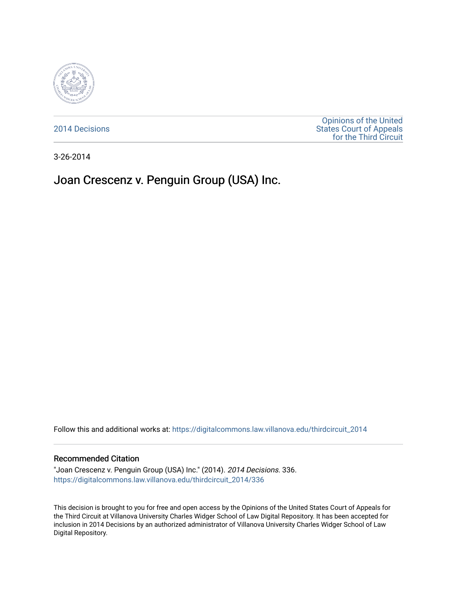

[2014 Decisions](https://digitalcommons.law.villanova.edu/thirdcircuit_2014)

[Opinions of the United](https://digitalcommons.law.villanova.edu/thirdcircuit)  [States Court of Appeals](https://digitalcommons.law.villanova.edu/thirdcircuit)  [for the Third Circuit](https://digitalcommons.law.villanova.edu/thirdcircuit) 

3-26-2014

# Joan Crescenz v. Penguin Group (USA) Inc.

Follow this and additional works at: [https://digitalcommons.law.villanova.edu/thirdcircuit\\_2014](https://digitalcommons.law.villanova.edu/thirdcircuit_2014?utm_source=digitalcommons.law.villanova.edu%2Fthirdcircuit_2014%2F336&utm_medium=PDF&utm_campaign=PDFCoverPages) 

#### Recommended Citation

"Joan Crescenz v. Penguin Group (USA) Inc." (2014). 2014 Decisions. 336. [https://digitalcommons.law.villanova.edu/thirdcircuit\\_2014/336](https://digitalcommons.law.villanova.edu/thirdcircuit_2014/336?utm_source=digitalcommons.law.villanova.edu%2Fthirdcircuit_2014%2F336&utm_medium=PDF&utm_campaign=PDFCoverPages)

This decision is brought to you for free and open access by the Opinions of the United States Court of Appeals for the Third Circuit at Villanova University Charles Widger School of Law Digital Repository. It has been accepted for inclusion in 2014 Decisions by an authorized administrator of Villanova University Charles Widger School of Law Digital Repository.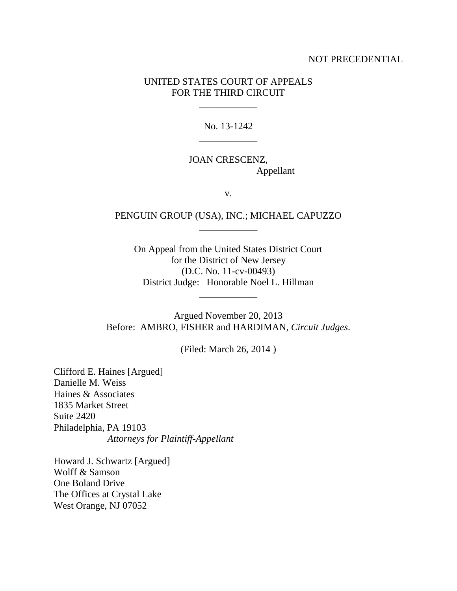#### NOT PRECEDENTIAL

#### UNITED STATES COURT OF APPEALS FOR THE THIRD CIRCUIT

\_\_\_\_\_\_\_\_\_\_\_\_

No. 13-1242 \_\_\_\_\_\_\_\_\_\_\_\_

## JOAN CRESCENZ, Appellant

v.

### PENGUIN GROUP (USA), INC.; MICHAEL CAPUZZO \_\_\_\_\_\_\_\_\_\_\_\_

On Appeal from the United States District Court for the District of New Jersey (D.C. No. 11-cv-00493) District Judge: Honorable Noel L. Hillman

\_\_\_\_\_\_\_\_\_\_\_\_

Argued November 20, 2013 Before: AMBRO, FISHER and HARDIMAN, *Circuit Judges*.

(Filed: March 26, 2014 )

Clifford E. Haines [Argued] Danielle M. Weiss Haines & Associates 1835 Market Street Suite 2420 Philadelphia, PA 19103 *Attorneys for Plaintiff-Appellant*

Howard J. Schwartz [Argued] Wolff & Samson One Boland Drive The Offices at Crystal Lake West Orange, NJ 07052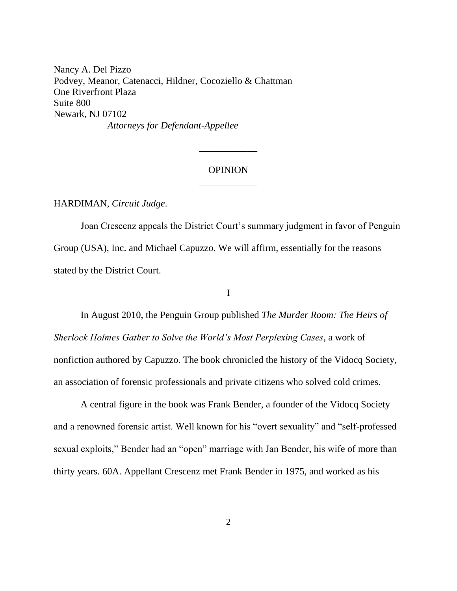Nancy A. Del Pizzo Podvey, Meanor, Catenacci, Hildner, Cocoziello & Chattman One Riverfront Plaza Suite 800 Newark, NJ 07102 *Attorneys for Defendant-Appellee*

## OPINION \_\_\_\_\_\_\_\_\_\_\_\_

\_\_\_\_\_\_\_\_\_\_\_\_

#### HARDIMAN, *Circuit Judge*.

Joan Crescenz appeals the District Court's summary judgment in favor of Penguin Group (USA), Inc. and Michael Capuzzo. We will affirm, essentially for the reasons stated by the District Court.

#### I

In August 2010, the Penguin Group published *The Murder Room: The Heirs of Sherlock Holmes Gather to Solve the World's Most Perplexing Cases*, a work of nonfiction authored by Capuzzo. The book chronicled the history of the Vidocq Society, an association of forensic professionals and private citizens who solved cold crimes.

A central figure in the book was Frank Bender, a founder of the Vidocq Society and a renowned forensic artist. Well known for his "overt sexuality" and "self-professed sexual exploits," Bender had an "open" marriage with Jan Bender, his wife of more than thirty years. 60A. Appellant Crescenz met Frank Bender in 1975, and worked as his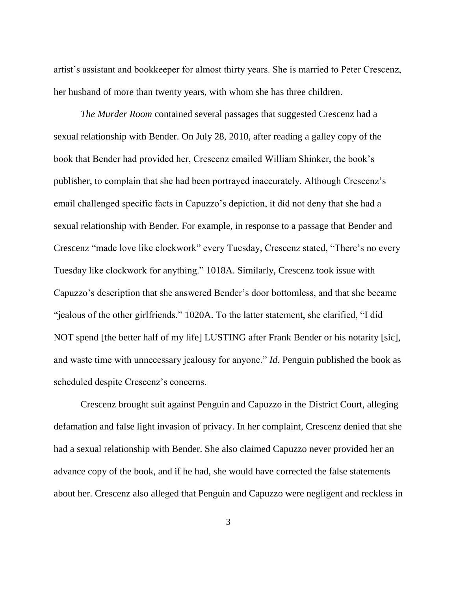artist's assistant and bookkeeper for almost thirty years. She is married to Peter Crescenz, her husband of more than twenty years, with whom she has three children.

*The Murder Room* contained several passages that suggested Crescenz had a sexual relationship with Bender. On July 28, 2010, after reading a galley copy of the book that Bender had provided her, Crescenz emailed William Shinker, the book's publisher, to complain that she had been portrayed inaccurately. Although Crescenz's email challenged specific facts in Capuzzo's depiction, it did not deny that she had a sexual relationship with Bender. For example, in response to a passage that Bender and Crescenz "made love like clockwork" every Tuesday, Crescenz stated, "There's no every Tuesday like clockwork for anything." 1018A. Similarly, Crescenz took issue with Capuzzo's description that she answered Bender's door bottomless, and that she became "jealous of the other girlfriends." 1020A. To the latter statement, she clarified, "I did NOT spend [the better half of my life] LUSTING after Frank Bender or his notarity [sic], and waste time with unnecessary jealousy for anyone." *Id.* Penguin published the book as scheduled despite Crescenz's concerns.

Crescenz brought suit against Penguin and Capuzzo in the District Court, alleging defamation and false light invasion of privacy. In her complaint, Crescenz denied that she had a sexual relationship with Bender. She also claimed Capuzzo never provided her an advance copy of the book, and if he had, she would have corrected the false statements about her. Crescenz also alleged that Penguin and Capuzzo were negligent and reckless in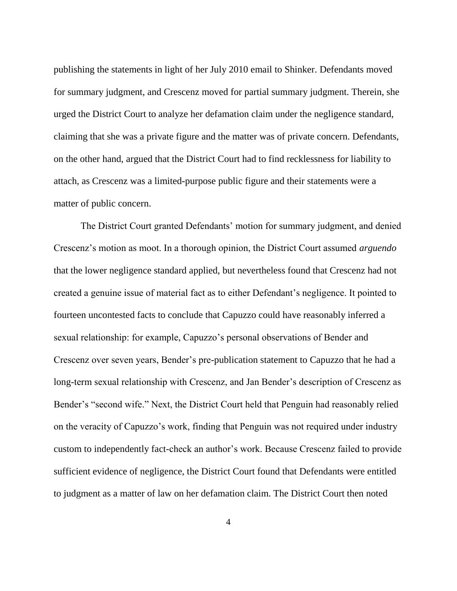publishing the statements in light of her July 2010 email to Shinker. Defendants moved for summary judgment, and Crescenz moved for partial summary judgment. Therein, she urged the District Court to analyze her defamation claim under the negligence standard, claiming that she was a private figure and the matter was of private concern. Defendants, on the other hand, argued that the District Court had to find recklessness for liability to attach, as Crescenz was a limited-purpose public figure and their statements were a matter of public concern.

The District Court granted Defendants' motion for summary judgment, and denied Crescenz's motion as moot. In a thorough opinion, the District Court assumed *arguendo* that the lower negligence standard applied, but nevertheless found that Crescenz had not created a genuine issue of material fact as to either Defendant's negligence. It pointed to fourteen uncontested facts to conclude that Capuzzo could have reasonably inferred a sexual relationship: for example, Capuzzo's personal observations of Bender and Crescenz over seven years, Bender's pre-publication statement to Capuzzo that he had a long-term sexual relationship with Crescenz, and Jan Bender's description of Crescenz as Bender's "second wife." Next, the District Court held that Penguin had reasonably relied on the veracity of Capuzzo's work, finding that Penguin was not required under industry custom to independently fact-check an author's work. Because Crescenz failed to provide sufficient evidence of negligence, the District Court found that Defendants were entitled to judgment as a matter of law on her defamation claim. The District Court then noted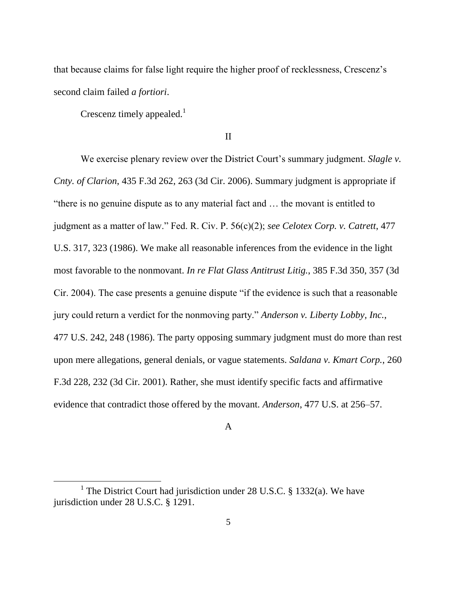that because claims for false light require the higher proof of recklessness, Crescenz's second claim failed *a fortiori*.

Crescenz timely appealed.<sup>1</sup>

 $\overline{a}$ 

II

We exercise plenary review over the District Court's summary judgment. *Slagle v. Cnty. of Clarion*, 435 F.3d 262, 263 (3d Cir. 2006). Summary judgment is appropriate if "there is no genuine dispute as to any material fact and … the movant is entitled to judgment as a matter of law." Fed. R. Civ. P. 56(c)(2); *see Celotex Corp. v. Catrett*, 477 U.S. 317, 323 (1986). We make all reasonable inferences from the evidence in the light most favorable to the nonmovant. *In re Flat Glass Antitrust Litig.*, 385 F.3d 350, 357 (3d Cir. 2004). The case presents a genuine dispute "if the evidence is such that a reasonable jury could return a verdict for the nonmoving party." *Anderson v. Liberty Lobby, Inc.*, 477 U.S. 242, 248 (1986). The party opposing summary judgment must do more than rest upon mere allegations, general denials, or vague statements. *Saldana v. Kmart Corp.*, 260 F.3d 228, 232 (3d Cir. 2001). Rather, she must identify specific facts and affirmative evidence that contradict those offered by the movant. *Anderson*, 477 U.S. at 256–57.

## A

<sup>&</sup>lt;sup>1</sup> The District Court had jurisdiction under 28 U.S.C. § 1332(a). We have jurisdiction under 28 U.S.C. § 1291.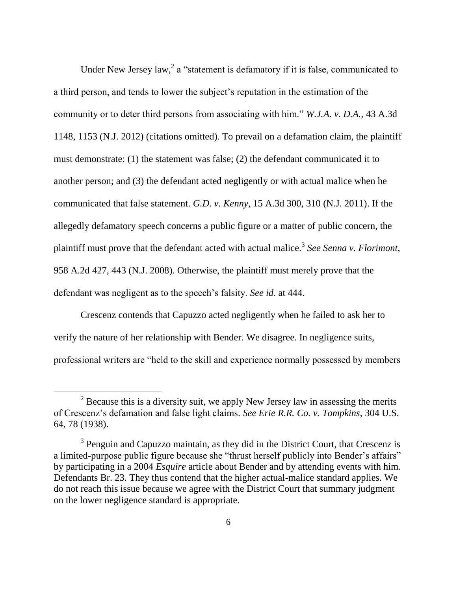Under New Jersey law,<sup>2</sup> a "statement is defamatory if it is false, communicated to a third person, and tends to lower the subject's reputation in the estimation of the community or to deter third persons from associating with him." *W.J.A. v. D.A.*, 43 A.3d 1148, 1153 (N.J. 2012) (citations omitted). To prevail on a defamation claim, the plaintiff must demonstrate: (1) the statement was false; (2) the defendant communicated it to another person; and (3) the defendant acted negligently or with actual malice when he communicated that false statement. *G.D. v. Kenny*, 15 A.3d 300, 310 (N.J. 2011). If the allegedly defamatory speech concerns a public figure or a matter of public concern, the plaintiff must prove that the defendant acted with actual malice.<sup>3</sup> See Senna v. Florimont, 958 A.2d 427, 443 (N.J. 2008). Otherwise, the plaintiff must merely prove that the defendant was negligent as to the speech's falsity. *See id.* at 444.

Crescenz contends that Capuzzo acted negligently when he failed to ask her to verify the nature of her relationship with Bender. We disagree. In negligence suits, professional writers are "held to the skill and experience normally possessed by members

 $2$  Because this is a diversity suit, we apply New Jersey law in assessing the merits of Crescenz's defamation and false light claims. *See Erie R.R. Co. v. Tompkins*, 304 U.S. 64, 78 (1938).

<sup>&</sup>lt;sup>3</sup> Penguin and Capuzzo maintain, as they did in the District Court, that Crescenz is a limited-purpose public figure because she "thrust herself publicly into Bender's affairs" by participating in a 2004 *Esquire* article about Bender and by attending events with him. Defendants Br. 23. They thus contend that the higher actual-malice standard applies. We do not reach this issue because we agree with the District Court that summary judgment on the lower negligence standard is appropriate.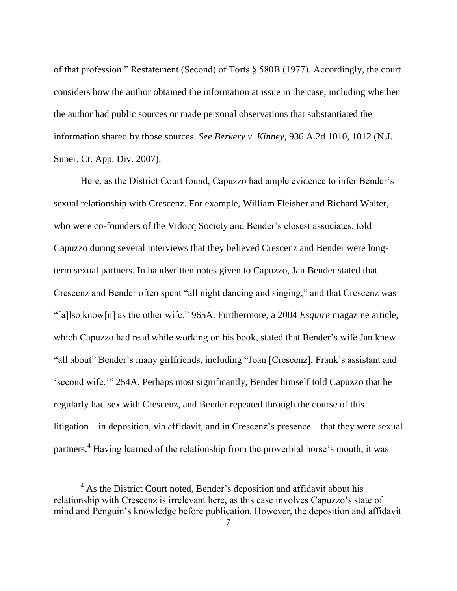of that profession." Restatement (Second) of Torts § 580B (1977). Accordingly, the court considers how the author obtained the information at issue in the case, including whether the author had public sources or made personal observations that substantiated the information shared by those sources. *See Berkery v. Kinney*, 936 A.2d 1010, 1012 (N.J. Super. Ct. App. Div. 2007).

Here, as the District Court found, Capuzzo had ample evidence to infer Bender's sexual relationship with Crescenz. For example, William Fleisher and Richard Walter, who were co-founders of the Vidocq Society and Bender's closest associates, told Capuzzo during several interviews that they believed Crescenz and Bender were longterm sexual partners. In handwritten notes given to Capuzzo, Jan Bender stated that Crescenz and Bender often spent "all night dancing and singing," and that Crescenz was "[a]lso know[n] as the other wife." 965A. Furthermore, a 2004 *Esquire* magazine article, which Capuzzo had read while working on his book, stated that Bender's wife Jan knew "all about" Bender's many girlfriends, including "Joan [Crescenz], Frank's assistant and 'second wife.'" 254A. Perhaps most significantly, Bender himself told Capuzzo that he regularly had sex with Crescenz, and Bender repeated through the course of this litigation—in deposition, via affidavit, and in Crescenz's presence—that they were sexual partners.<sup>4</sup> Having learned of the relationship from the proverbial horse's mouth, it was

<sup>&</sup>lt;sup>4</sup> As the District Court noted, Bender's deposition and affidavit about his relationship with Crescenz is irrelevant here, as this case involves Capuzzo's state of mind and Penguin's knowledge before publication. However, the deposition and affidavit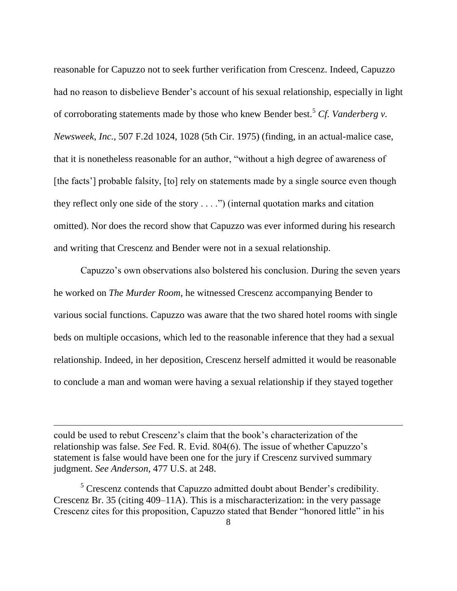reasonable for Capuzzo not to seek further verification from Crescenz. Indeed, Capuzzo had no reason to disbelieve Bender's account of his sexual relationship, especially in light of corroborating statements made by those who knew Bender best.<sup>5</sup> *Cf. Vanderberg v. Newsweek, Inc.*, 507 F.2d 1024, 1028 (5th Cir. 1975) (finding, in an actual-malice case, that it is nonetheless reasonable for an author, "without a high degree of awareness of [the facts'] probable falsity, [to] rely on statements made by a single source even though they reflect only one side of the story . . . .") (internal quotation marks and citation omitted). Nor does the record show that Capuzzo was ever informed during his research and writing that Crescenz and Bender were not in a sexual relationship.

Capuzzo's own observations also bolstered his conclusion. During the seven years he worked on *The Murder Room*, he witnessed Crescenz accompanying Bender to various social functions. Capuzzo was aware that the two shared hotel rooms with single beds on multiple occasions, which led to the reasonable inference that they had a sexual relationship. Indeed, in her deposition, Crescenz herself admitted it would be reasonable to conclude a man and woman were having a sexual relationship if they stayed together

could be used to rebut Crescenz's claim that the book's characterization of the relationship was false. *See* Fed. R. Evid. 804(6). The issue of whether Capuzzo's statement is false would have been one for the jury if Crescenz survived summary judgment. *See Anderson*, 477 U.S. at 248.

 $\overline{a}$ 

 $<sup>5</sup>$  Crescenz contends that Capuzzo admitted doubt about Bender's credibility.</sup> Crescenz Br. 35 (citing 409–11A). This is a mischaracterization: in the very passage Crescenz cites for this proposition, Capuzzo stated that Bender "honored little" in his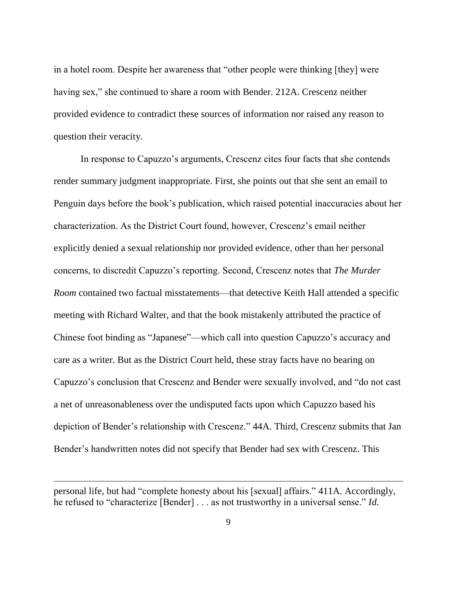in a hotel room. Despite her awareness that "other people were thinking [they] were having sex," she continued to share a room with Bender. 212A. Crescenz neither provided evidence to contradict these sources of information nor raised any reason to question their veracity.

In response to Capuzzo's arguments, Crescenz cites four facts that she contends render summary judgment inappropriate. First, she points out that she sent an email to Penguin days before the book's publication, which raised potential inaccuracies about her characterization. As the District Court found, however, Crescenz's email neither explicitly denied a sexual relationship nor provided evidence, other than her personal concerns, to discredit Capuzzo's reporting. Second, Crescenz notes that *The Murder Room* contained two factual misstatements—that detective Keith Hall attended a specific meeting with Richard Walter, and that the book mistakenly attributed the practice of Chinese foot binding as "Japanese"—which call into question Capuzzo's accuracy and care as a writer. But as the District Court held, these stray facts have no bearing on Capuzzo's conclusion that Crescenz and Bender were sexually involved, and "do not cast a net of unreasonableness over the undisputed facts upon which Capuzzo based his depiction of Bender's relationship with Crescenz." 44A. Third, Crescenz submits that Jan Bender's handwritten notes did not specify that Bender had sex with Crescenz. This

personal life, but had "complete honesty about his [sexual] affairs." 411A. Accordingly, he refused to "characterize [Bender] . . . as not trustworthy in a universal sense." *Id.*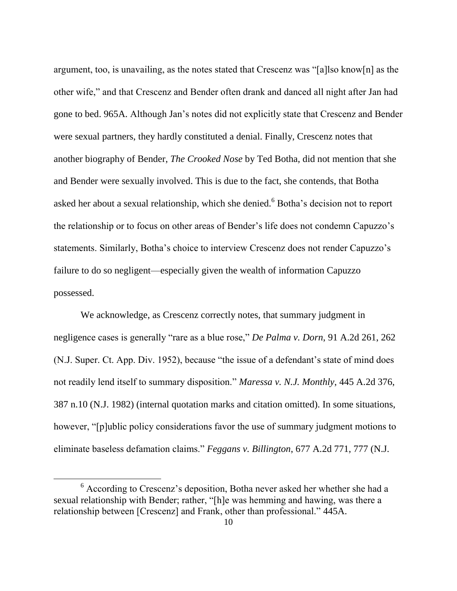argument, too, is unavailing, as the notes stated that Crescenz was "[a]lso know[n] as the other wife," and that Crescenz and Bender often drank and danced all night after Jan had gone to bed. 965A. Although Jan's notes did not explicitly state that Crescenz and Bender were sexual partners, they hardly constituted a denial. Finally, Crescenz notes that another biography of Bender, *The Crooked Nose* by Ted Botha, did not mention that she and Bender were sexually involved. This is due to the fact, she contends, that Botha asked her about a sexual relationship, which she denied.<sup>6</sup> Botha's decision not to report the relationship or to focus on other areas of Bender's life does not condemn Capuzzo's statements. Similarly, Botha's choice to interview Crescenz does not render Capuzzo's failure to do so negligent—especially given the wealth of information Capuzzo possessed.

We acknowledge, as Crescenz correctly notes, that summary judgment in negligence cases is generally "rare as a blue rose," *De Palma v. Dorn*, 91 A.2d 261, 262 (N.J. Super. Ct. App. Div. 1952), because "the issue of a defendant's state of mind does not readily lend itself to summary disposition." *Maressa v. N.J. Monthly*, 445 A.2d 376, 387 n.10 (N.J. 1982) (internal quotation marks and citation omitted). In some situations, however, "[p]ublic policy considerations favor the use of summary judgment motions to eliminate baseless defamation claims." *Feggans v. Billington*, 677 A.2d 771, 777 (N.J.

<sup>6</sup> According to Crescenz's deposition, Botha never asked her whether she had a sexual relationship with Bender; rather, "[h]e was hemming and hawing, was there a relationship between [Crescenz] and Frank, other than professional." 445A.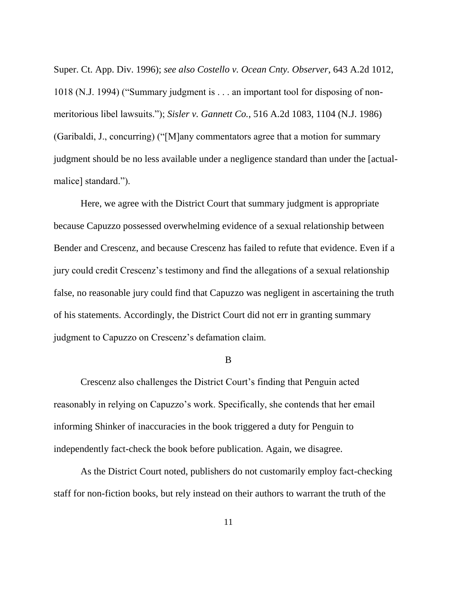Super. Ct. App. Div. 1996); *see also Costello v. Ocean Cnty. Observer*, 643 A.2d 1012, 1018 (N.J. 1994) ("Summary judgment is . . . an important tool for disposing of nonmeritorious libel lawsuits."); *Sisler v. Gannett Co.*, 516 A.2d 1083, 1104 (N.J. 1986) (Garibaldi, J., concurring) ("[M]any commentators agree that a motion for summary judgment should be no less available under a negligence standard than under the [actualmalice] standard.").

Here, we agree with the District Court that summary judgment is appropriate because Capuzzo possessed overwhelming evidence of a sexual relationship between Bender and Crescenz, and because Crescenz has failed to refute that evidence. Even if a jury could credit Crescenz's testimony and find the allegations of a sexual relationship false, no reasonable jury could find that Capuzzo was negligent in ascertaining the truth of his statements. Accordingly, the District Court did not err in granting summary judgment to Capuzzo on Crescenz's defamation claim.

B

Crescenz also challenges the District Court's finding that Penguin acted reasonably in relying on Capuzzo's work. Specifically, she contends that her email informing Shinker of inaccuracies in the book triggered a duty for Penguin to independently fact-check the book before publication. Again, we disagree.

As the District Court noted, publishers do not customarily employ fact-checking staff for non-fiction books, but rely instead on their authors to warrant the truth of the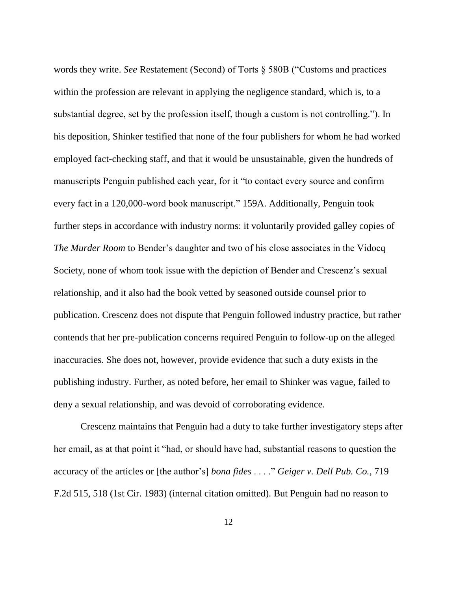words they write. *See* Restatement (Second) of Torts § 580B ("Customs and practices within the profession are relevant in applying the negligence standard, which is, to a substantial degree, set by the profession itself, though a custom is not controlling."). In his deposition, Shinker testified that none of the four publishers for whom he had worked employed fact-checking staff, and that it would be unsustainable, given the hundreds of manuscripts Penguin published each year, for it "to contact every source and confirm every fact in a 120,000-word book manuscript." 159A. Additionally, Penguin took further steps in accordance with industry norms: it voluntarily provided galley copies of *The Murder Room* to Bender's daughter and two of his close associates in the Vidocq Society, none of whom took issue with the depiction of Bender and Crescenz's sexual relationship, and it also had the book vetted by seasoned outside counsel prior to publication. Crescenz does not dispute that Penguin followed industry practice, but rather contends that her pre-publication concerns required Penguin to follow-up on the alleged inaccuracies. She does not, however, provide evidence that such a duty exists in the publishing industry. Further, as noted before, her email to Shinker was vague, failed to deny a sexual relationship, and was devoid of corroborating evidence.

Crescenz maintains that Penguin had a duty to take further investigatory steps after her email, as at that point it "had, or should have had, substantial reasons to question the accuracy of the articles or [the author's] *bona fides* . . . ." *Geiger v. Dell Pub. Co.*, 719 F.2d 515, 518 (1st Cir. 1983) (internal citation omitted). But Penguin had no reason to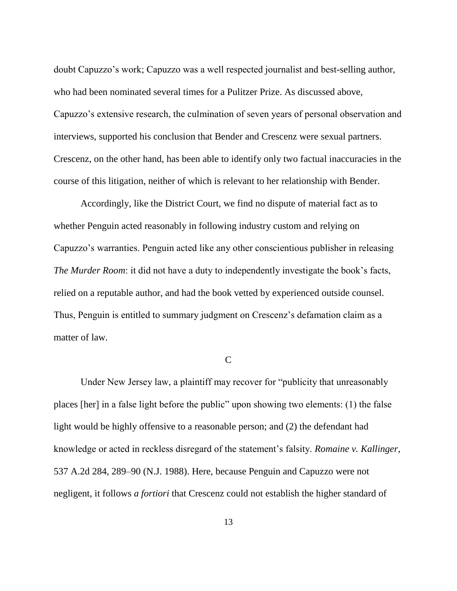doubt Capuzzo's work; Capuzzo was a well respected journalist and best-selling author, who had been nominated several times for a Pulitzer Prize. As discussed above, Capuzzo's extensive research, the culmination of seven years of personal observation and interviews, supported his conclusion that Bender and Crescenz were sexual partners. Crescenz, on the other hand, has been able to identify only two factual inaccuracies in the course of this litigation, neither of which is relevant to her relationship with Bender.

Accordingly, like the District Court, we find no dispute of material fact as to whether Penguin acted reasonably in following industry custom and relying on Capuzzo's warranties. Penguin acted like any other conscientious publisher in releasing *The Murder Room*: it did not have a duty to independently investigate the book's facts, relied on a reputable author, and had the book vetted by experienced outside counsel. Thus, Penguin is entitled to summary judgment on Crescenz's defamation claim as a matter of law.

#### C

Under New Jersey law, a plaintiff may recover for "publicity that unreasonably places [her] in a false light before the public" upon showing two elements: (1) the false light would be highly offensive to a reasonable person; and (2) the defendant had knowledge or acted in reckless disregard of the statement's falsity. *Romaine v. Kallinger*, 537 A.2d 284, 289–90 (N.J. 1988). Here, because Penguin and Capuzzo were not negligent, it follows *a fortiori* that Crescenz could not establish the higher standard of